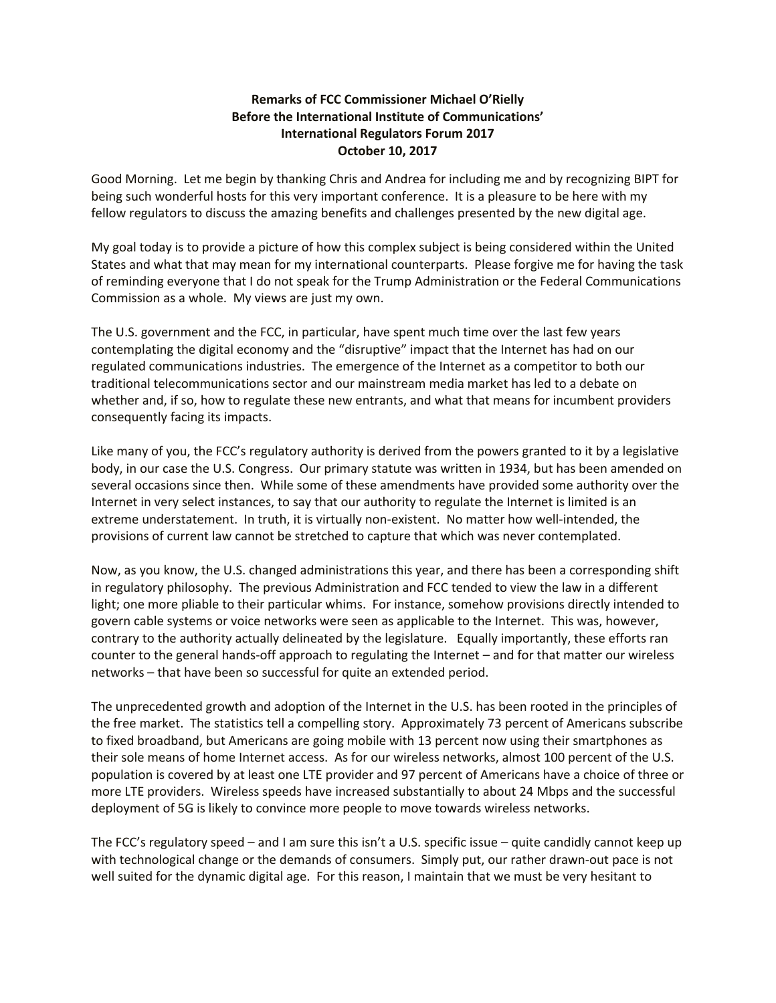## **Remarks of FCC Commissioner Michael O'Rielly Before the International Institute of Communications' International Regulators Forum 2017 October 10, 2017**

Good Morning. Let me begin by thanking Chris and Andrea for including me and by recognizing BIPT for being such wonderful hosts for this very important conference. It is a pleasure to be here with my fellow regulators to discuss the amazing benefits and challenges presented by the new digital age.

My goal today is to provide a picture of how this complex subject is being considered within the United States and what that may mean for my international counterparts. Please forgive me for having the task of reminding everyone that I do not speak for the Trump Administration or the Federal Communications Commission as a whole. My views are just my own.

The U.S. government and the FCC, in particular, have spent much time over the last few years contemplating the digital economy and the "disruptive" impact that the Internet has had on our regulated communications industries. The emergence of the Internet as a competitor to both our traditional telecommunications sector and our mainstream media market has led to a debate on whether and, if so, how to regulate these new entrants, and what that means for incumbent providers consequently facing its impacts.

Like many of you, the FCC's regulatory authority is derived from the powers granted to it by a legislative body, in our case the U.S. Congress. Our primary statute was written in 1934, but has been amended on several occasions since then. While some of these amendments have provided some authority over the Internet in very select instances, to say that our authority to regulate the Internet is limited is an extreme understatement. In truth, it is virtually non-existent. No matter how well-intended, the provisions of current law cannot be stretched to capture that which was never contemplated.

Now, as you know, the U.S. changed administrations this year, and there has been a corresponding shift in regulatory philosophy. The previous Administration and FCC tended to view the law in a different light; one more pliable to their particular whims. For instance, somehow provisions directly intended to govern cable systems or voice networks were seen as applicable to the Internet. This was, however, contrary to the authority actually delineated by the legislature. Equally importantly, these efforts ran counter to the general hands-off approach to regulating the Internet – and for that matter our wireless networks – that have been so successful for quite an extended period.

The unprecedented growth and adoption of the Internet in the U.S. has been rooted in the principles of the free market. The statistics tell a compelling story. Approximately 73 percent of Americans subscribe to fixed broadband, but Americans are going mobile with 13 percent now using their smartphones as their sole means of home Internet access. As for our wireless networks, almost 100 percent of the U.S. population is covered by at least one LTE provider and 97 percent of Americans have a choice of three or more LTE providers. Wireless speeds have increased substantially to about 24 Mbps and the successful deployment of 5G is likely to convince more people to move towards wireless networks.

The FCC's regulatory speed – and I am sure this isn't a U.S. specific issue – quite candidly cannot keep up with technological change or the demands of consumers. Simply put, our rather drawn-out pace is not well suited for the dynamic digital age. For this reason, I maintain that we must be very hesitant to